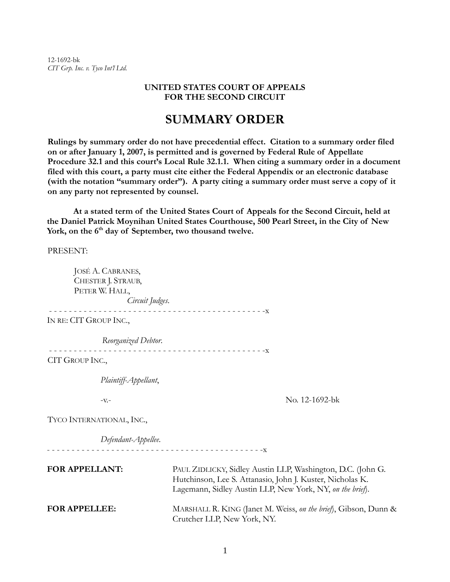12-1692-bk *CIT Grp. Inc. v. Tyco Int'l Ltd.* 

### **UNITED STATES COURT OF APPEALS FOR THE SECOND CIRCUIT**

# **SUMMARY ORDER**

**Rulings by summary order do not have precedential effect. Citation to a summary order filed on or after January 1, 2007, is permitted and is governed by Federal Rule of Appellate Procedure 32.1 and this court's Local Rule 32.1.1. When citing a summary order in a document filed with this court, a party must cite either the Federal Appendix or an electronic database (with the notation "summary order"). A party citing a summary order must serve a copy of it on any party not represented by counsel.** 

**At a stated term of the United States Court of Appeals for the Second Circuit, held at the Daniel Patrick Moynihan United States Courthouse, 500 Pearl Street, in the City of New**  York, on the 6<sup>th</sup> day of September, two thousand twelve.

PRESENT:

JOSÉ A. CABRANES, CHESTER J. STRAUB, PETER W. HALL, *Circuit Judges*. - - - - - - - - - - - - - - - - - - - - - - - - - - - - - - - - - - - - - - - - - - - -x IN RE: CIT GROUP INC., *Reorganized Debtor*. - - - - - - - - - - - - - - - - - - - - - - - - - - - - - - - - - - - - - - - - - - - -x CIT GROUP INC., *Plaintiff-Appellant*, -v.- No. 12-1692-bk TYCO INTERNATIONAL, INC., *Defendant-Appellee*. - - - - - - - - - - - - - - - - - - - - - - - - - - - - - - - - - - - - - - - - - - - -x  **FOR APPELLANT:** PAUL ZIDLICKY, Sidley Austin LLP, Washington, D.C. (John G. Hutchinson, Lee S. Attanasio, John J. Kuster, Nicholas K. Lagemann, Sidley Austin LLP, New York, NY, *on the brief*).  **FOR APPELLEE:** MARSHALL R. KING (Janet M. Weiss, *on the brief*), Gibson, Dunn & Crutcher LLP, New York, NY.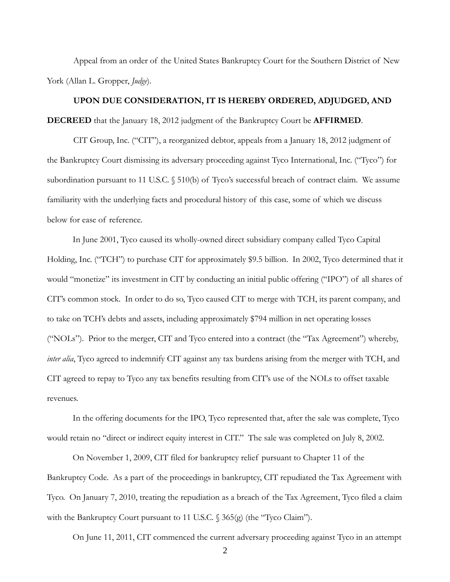Appeal from an order of the United States Bankruptcy Court for the Southern District of New York (Allan L. Gropper, *Judge*).

## **UPON DUE CONSIDERATION, IT IS HEREBY ORDERED, ADJUDGED, AND**

**DECREED** that the January 18, 2012 judgment of the Bankruptcy Court be **AFFIRMED**.

CIT Group, Inc. ("CIT"), a reorganized debtor, appeals from a January 18, 2012 judgment of the Bankruptcy Court dismissing its adversary proceeding against Tyco International, Inc. ("Tyco") for subordination pursuant to 11 U.S.C. § 510(b) of Tyco's successful breach of contract claim. We assume familiarity with the underlying facts and procedural history of this case, some of which we discuss below for ease of reference.

In June 2001, Tyco caused its wholly-owned direct subsidiary company called Tyco Capital Holding, Inc. ("TCH") to purchase CIT for approximately \$9.5 billion. In 2002, Tyco determined that it would "monetize" its investment in CIT by conducting an initial public offering ("IPO") of all shares of CIT's common stock. In order to do so, Tyco caused CIT to merge with TCH, its parent company, and to take on TCH's debts and assets, including approximately \$794 million in net operating losses ("NOLs"). Prior to the merger, CIT and Tyco entered into a contract (the "Tax Agreement") whereby, *inter alia*, Tyco agreed to indemnify CIT against any tax burdens arising from the merger with TCH, and CIT agreed to repay to Tyco any tax benefits resulting from CIT's use of the NOLs to offset taxable revenues.

In the offering documents for the IPO, Tyco represented that, after the sale was complete, Tyco would retain no "direct or indirect equity interest in CIT." The sale was completed on July 8, 2002.

On November 1, 2009, CIT filed for bankruptcy relief pursuant to Chapter 11 of the Bankruptcy Code. As a part of the proceedings in bankruptcy, CIT repudiated the Tax Agreement with Tyco. On January 7, 2010, treating the repudiation as a breach of the Tax Agreement, Tyco filed a claim with the Bankruptcy Court pursuant to 11 U.S.C. § 365(g) (the "Tyco Claim").

On June 11, 2011, CIT commenced the current adversary proceeding against Tyco in an attempt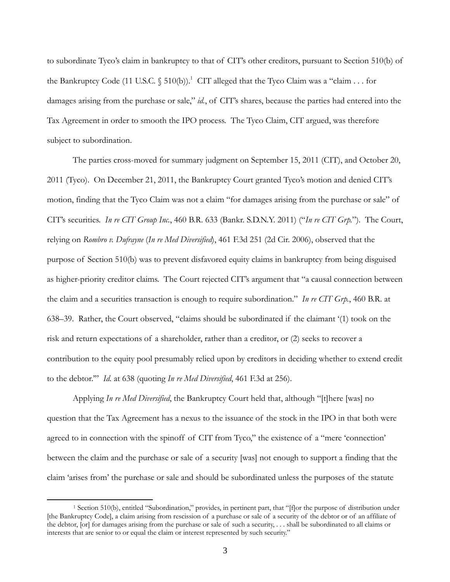to subordinate Tyco's claim in bankruptcy to that of CIT's other creditors, pursuant to Section 510(b) of the Bankruptcy Code (11 U.S.C. § 510(b)).<sup>1</sup> CIT alleged that the Tyco Claim was a "claim . . . for damages arising from the purchase or sale," *id.*, of CIT's shares, because the parties had entered into the Tax Agreement in order to smooth the IPO process. The Tyco Claim, CIT argued, was therefore subject to subordination.

The parties cross-moved for summary judgment on September 15, 2011 (CIT), and October 20, 2011 (Tyco). On December 21, 2011, the Bankruptcy Court granted Tyco's motion and denied CIT's motion, finding that the Tyco Claim was not a claim "for damages arising from the purchase or sale" of CIT's securities. *In re CIT Group Inc.*, 460 B.R. 633 (Bankr. S.D.N.Y. 2011) ("*In re CIT Grp.*"). The Court, relying on *Rombro v. Dufrayne* (*In re Med Diversified*), 461 F.3d 251 (2d Cir. 2006), observed that the purpose of Section 510(b) was to prevent disfavored equity claims in bankruptcy from being disguised as higher-priority creditor claims. The Court rejected CIT's argument that "a causal connection between the claim and a securities transaction is enough to require subordination." *In re CIT Grp.*, 460 B.R. at 638–39. Rather, the Court observed, "claims should be subordinated if the claimant '(1) took on the risk and return expectations of a shareholder, rather than a creditor, or (2) seeks to recover a contribution to the equity pool presumably relied upon by creditors in deciding whether to extend credit to the debtor.'" *Id.* at 638 (quoting *In re Med Diversified*, 461 F.3d at 256).

Applying *In re Med Diversified*, the Bankruptcy Court held that, although "[t]here [was] no question that the Tax Agreement has a nexus to the issuance of the stock in the IPO in that both were agreed to in connection with the spinoff of CIT from Tyco," the existence of a "mere 'connection' between the claim and the purchase or sale of a security [was] not enough to support a finding that the claim 'arises from' the purchase or sale and should be subordinated unless the purposes of the statute

 $\overline{a}$ 

<sup>&</sup>lt;sup>1</sup> Section 510(b), entitled "Subordination," provides, in pertinent part, that "[f]or the purpose of distribution under [the Bankruptcy Code], a claim arising from rescission of a purchase or sale of a security of the debtor or of an affiliate of the debtor, [or] for damages arising from the purchase or sale of such a security, . . . shall be subordinated to all claims or interests that are senior to or equal the claim or interest represented by such security."